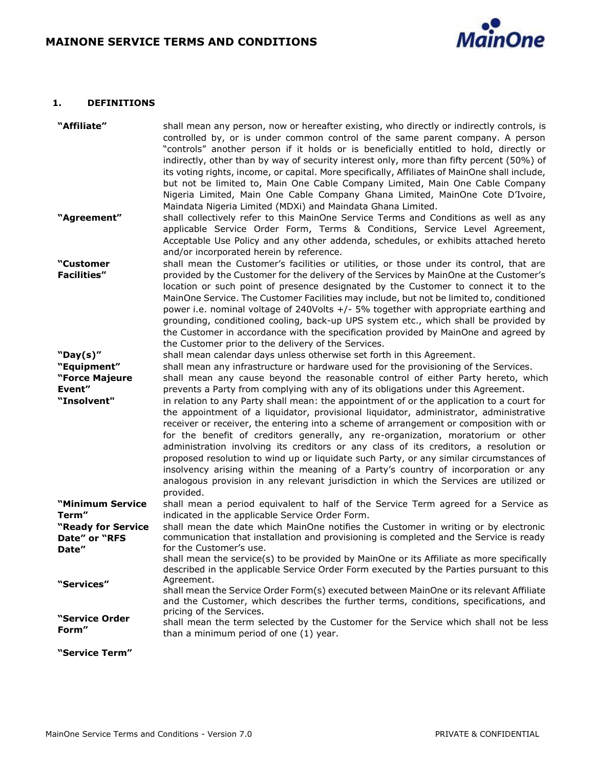

## **1. DEFINITIONS**

| "Affiliate"<br>"Agreement"              | shall mean any person, now or hereafter existing, who directly or indirectly controls, is<br>controlled by, or is under common control of the same parent company. A person<br>"controls" another person if it holds or is beneficially entitled to hold, directly or<br>indirectly, other than by way of security interest only, more than fifty percent (50%) of<br>its voting rights, income, or capital. More specifically, Affiliates of MainOne shall include,<br>but not be limited to, Main One Cable Company Limited, Main One Cable Company<br>Nigeria Limited, Main One Cable Company Ghana Limited, MainOne Cote D'Ivoire,<br>Maindata Nigeria Limited (MDXi) and Maindata Ghana Limited.<br>shall collectively refer to this MainOne Service Terms and Conditions as well as any                                                                                                                               |
|-----------------------------------------|-----------------------------------------------------------------------------------------------------------------------------------------------------------------------------------------------------------------------------------------------------------------------------------------------------------------------------------------------------------------------------------------------------------------------------------------------------------------------------------------------------------------------------------------------------------------------------------------------------------------------------------------------------------------------------------------------------------------------------------------------------------------------------------------------------------------------------------------------------------------------------------------------------------------------------|
|                                         | applicable Service Order Form, Terms & Conditions, Service Level Agreement,<br>Acceptable Use Policy and any other addenda, schedules, or exhibits attached hereto<br>and/or incorporated herein by reference.                                                                                                                                                                                                                                                                                                                                                                                                                                                                                                                                                                                                                                                                                                              |
| "Customer<br><b>Facilities"</b>         | shall mean the Customer's facilities or utilities, or those under its control, that are<br>provided by the Customer for the delivery of the Services by MainOne at the Customer's<br>location or such point of presence designated by the Customer to connect it to the<br>MainOne Service. The Customer Facilities may include, but not be limited to, conditioned<br>power i.e. nominal voltage of 240Volts +/- 5% together with appropriate earthing and<br>grounding, conditioned cooling, back-up UPS system etc., which shall be provided by<br>the Customer in accordance with the specification provided by MainOne and agreed by<br>the Customer prior to the delivery of the Services.                                                                                                                                                                                                                            |
| " $Day(s)$ "<br>"Equipment"             | shall mean calendar days unless otherwise set forth in this Agreement.<br>shall mean any infrastructure or hardware used for the provisioning of the Services.                                                                                                                                                                                                                                                                                                                                                                                                                                                                                                                                                                                                                                                                                                                                                              |
| "Force Majeure<br>Event"<br>"Insolvent" | shall mean any cause beyond the reasonable control of either Party hereto, which<br>prevents a Party from complying with any of its obligations under this Agreement.<br>in relation to any Party shall mean: the appointment of or the application to a court for<br>the appointment of a liquidator, provisional liquidator, administrator, administrative<br>receiver or receiver, the entering into a scheme of arrangement or composition with or<br>for the benefit of creditors generally, any re-organization, moratorium or other<br>administration involving its creditors or any class of its creditors, a resolution or<br>proposed resolution to wind up or liquidate such Party, or any similar circumstances of<br>insolvency arising within the meaning of a Party's country of incorporation or any<br>analogous provision in any relevant jurisdiction in which the Services are utilized or<br>provided. |
| "Minimum Service                        | shall mean a period equivalent to half of the Service Term agreed for a Service as                                                                                                                                                                                                                                                                                                                                                                                                                                                                                                                                                                                                                                                                                                                                                                                                                                          |
| Term"<br>"Ready for Service             | indicated in the applicable Service Order Form.<br>shall mean the date which MainOne notifies the Customer in writing or by electronic                                                                                                                                                                                                                                                                                                                                                                                                                                                                                                                                                                                                                                                                                                                                                                                      |
| Date" or "RFS<br>Date"                  | communication that installation and provisioning is completed and the Service is ready<br>for the Customer's use.<br>shall mean the service(s) to be provided by MainOne or its Affiliate as more specifically<br>described in the applicable Service Order Form executed by the Parties pursuant to this                                                                                                                                                                                                                                                                                                                                                                                                                                                                                                                                                                                                                   |
| "Services"                              | Agreement.<br>shall mean the Service Order Form(s) executed between MainOne or its relevant Affiliate<br>and the Customer, which describes the further terms, conditions, specifications, and<br>pricing of the Services.                                                                                                                                                                                                                                                                                                                                                                                                                                                                                                                                                                                                                                                                                                   |
| "Service Order<br>Form"                 | shall mean the term selected by the Customer for the Service which shall not be less<br>than a minimum period of one (1) year.                                                                                                                                                                                                                                                                                                                                                                                                                                                                                                                                                                                                                                                                                                                                                                                              |
| "Service Term"                          |                                                                                                                                                                                                                                                                                                                                                                                                                                                                                                                                                                                                                                                                                                                                                                                                                                                                                                                             |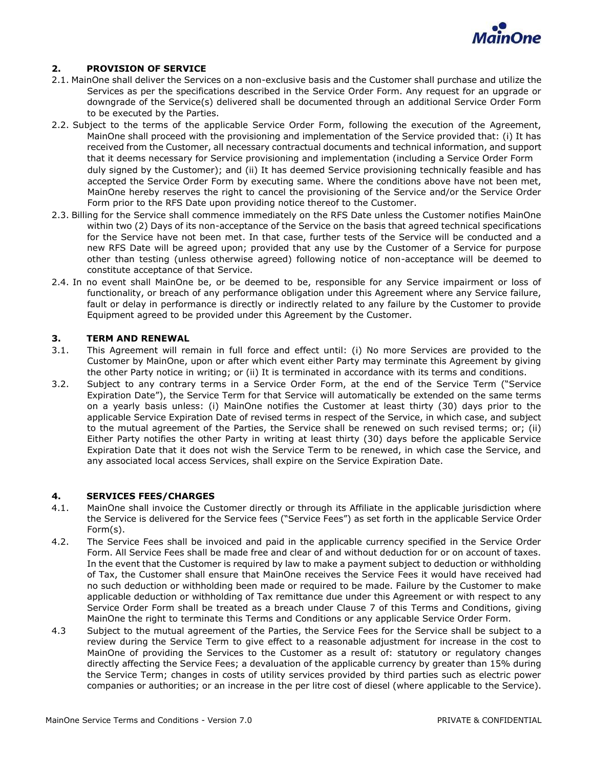

# **2. PROVISION OF SERVICE**

- 2.1. MainOne shall deliver the Services on a non-exclusive basis and the Customer shall purchase and utilize the Services as per the specifications described in the Service Order Form. Any request for an upgrade or downgrade of the Service(s) delivered shall be documented through an additional Service Order Form to be executed by the Parties.
- 2.2. Subject to the terms of the applicable Service Order Form, following the execution of the Agreement, MainOne shall proceed with the provisioning and implementation of the Service provided that: (i) It has received from the Customer, all necessary contractual documents and technical information, and support that it deems necessary for Service provisioning and implementation (including a Service Order Form duly signed by the Customer); and (ii) It has deemed Service provisioning technically feasible and has accepted the Service Order Form by executing same. Where the conditions above have not been met, MainOne hereby reserves the right to cancel the provisioning of the Service and/or the Service Order Form prior to the RFS Date upon providing notice thereof to the Customer.
- 2.3. Billing for the Service shall commence immediately on the RFS Date unless the Customer notifies MainOne within two (2) Days of its non-acceptance of the Service on the basis that agreed technical specifications for the Service have not been met. In that case, further tests of the Service will be conducted and a new RFS Date will be agreed upon; provided that any use by the Customer of a Service for purpose other than testing (unless otherwise agreed) following notice of non-acceptance will be deemed to constitute acceptance of that Service.
- 2.4. In no event shall MainOne be, or be deemed to be, responsible for any Service impairment or loss of functionality, or breach of any performance obligation under this Agreement where any Service failure, fault or delay in performance is directly or indirectly related to any failure by the Customer to provide Equipment agreed to be provided under this Agreement by the Customer.

## **3. TERM AND RENEWAL**

- 3.1. This Agreement will remain in full force and effect until: (i) No more Services are provided to the Customer by MainOne, upon or after which event either Party may terminate this Agreement by giving the other Party notice in writing; or (ii) It is terminated in accordance with its terms and conditions.
- 3.2. Subject to any contrary terms in a Service Order Form, at the end of the Service Term ("Service Expiration Date"), the Service Term for that Service will automatically be extended on the same terms on a yearly basis unless: (i) MainOne notifies the Customer at least thirty (30) days prior to the applicable Service Expiration Date of revised terms in respect of the Service, in which case, and subject to the mutual agreement of the Parties, the Service shall be renewed on such revised terms; or; (ii) Either Party notifies the other Party in writing at least thirty (30) days before the applicable Service Expiration Date that it does not wish the Service Term to be renewed, in which case the Service, and any associated local access Services, shall expire on the Service Expiration Date.

### **4. SERVICES FEES/CHARGES**

- 4.1. MainOne shall invoice the Customer directly or through its Affiliate in the applicable jurisdiction where the Service is delivered for the Service fees ("Service Fees") as set forth in the applicable Service Order Form(s).
- 4.2. The Service Fees shall be invoiced and paid in the applicable currency specified in the Service Order Form. All Service Fees shall be made free and clear of and without deduction for or on account of taxes. In the event that the Customer is required by law to make a payment subject to deduction or withholding of Tax, the Customer shall ensure that MainOne receives the Service Fees it would have received had no such deduction or withholding been made or required to be made. Failure by the Customer to make applicable deduction or withholding of Tax remittance due under this Agreement or with respect to any Service Order Form shall be treated as a breach under Clause 7 of this Terms and Conditions, giving MainOne the right to terminate this Terms and Conditions or any applicable Service Order Form.
- 4.3 Subject to the mutual agreement of the Parties, the Service Fees for the Service shall be subject to a review during the Service Term to give effect to a reasonable adjustment for increase in the cost to MainOne of providing the Services to the Customer as a result of: statutory or regulatory changes directly affecting the Service Fees; a devaluation of the applicable currency by greater than 15% during the Service Term; changes in costs of utility services provided by third parties such as electric power companies or authorities; or an increase in the per litre cost of diesel (where applicable to the Service).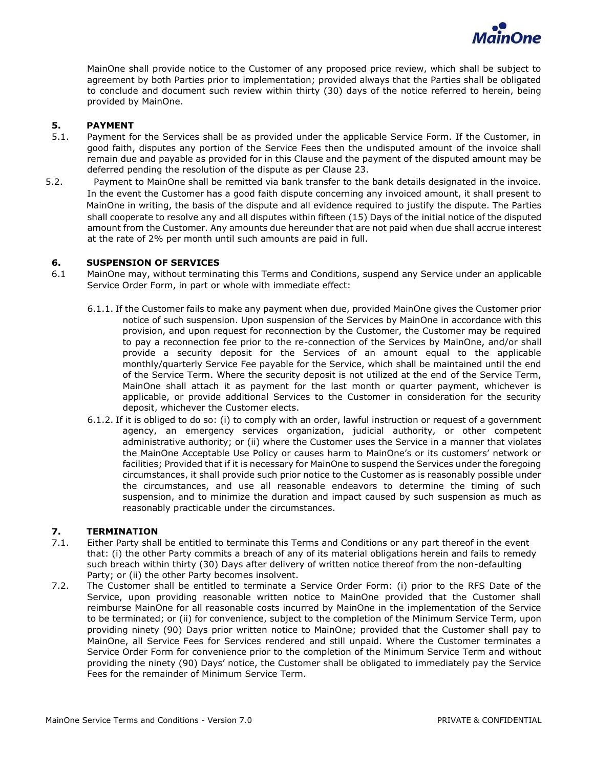

MainOne shall provide notice to the Customer of any proposed price review, which shall be subject to agreement by both Parties prior to implementation; provided always that the Parties shall be obligated to conclude and document such review within thirty (30) days of the notice referred to herein, being provided by MainOne.

## **5. PAYMENT**

- 5.1. Payment for the Services shall be as provided under the applicable Service Form. If the Customer, in good faith, disputes any portion of the Service Fees then the undisputed amount of the invoice shall remain due and payable as provided for in this Clause and the payment of the disputed amount may be deferred pending the resolution of the dispute as per Clause 23.
- 5.2. Payment to MainOne shall be remitted via bank transfer to the bank details designated in the invoice. In the event the Customer has a good faith dispute concerning any invoiced amount, it shall present to MainOne in writing, the basis of the dispute and all evidence required to justify the dispute. The Parties shall cooperate to resolve any and all disputes within fifteen (15) Days of the initial notice of the disputed amount from the Customer. Any amounts due hereunder that are not paid when due shall accrue interest at the rate of 2% per month until such amounts are paid in full.

### **6. SUSPENSION OF SERVICES**

- 6.1 MainOne may, without terminating this Terms and Conditions, suspend any Service under an applicable Service Order Form, in part or whole with immediate effect:
	- 6.1.1. If the Customer fails to make any payment when due, provided MainOne gives the Customer prior notice of such suspension. Upon suspension of the Services by MainOne in accordance with this provision, and upon request for reconnection by the Customer, the Customer may be required to pay a reconnection fee prior to the re-connection of the Services by MainOne, and/or shall provide a security deposit for the Services of an amount equal to the applicable monthly/quarterly Service Fee payable for the Service, which shall be maintained until the end of the Service Term. Where the security deposit is not utilized at the end of the Service Term, MainOne shall attach it as payment for the last month or quarter payment, whichever is applicable, or provide additional Services to the Customer in consideration for the security deposit, whichever the Customer elects.
	- 6.1.2. If it is obliged to do so: (i) to comply with an order, lawful instruction or request of a government agency, an emergency services organization, judicial authority, or other competent administrative authority; or (ii) where the Customer uses the Service in a manner that violates the MainOne Acceptable Use Policy or causes harm to MainOne's or its customers' network or facilities; Provided that if it is necessary for MainOne to suspend the Services under the foregoing circumstances, it shall provide such prior notice to the Customer as is reasonably possible under the circumstances, and use all reasonable endeavors to determine the timing of such suspension, and to minimize the duration and impact caused by such suspension as much as reasonably practicable under the circumstances.

## **7. TERMINATION**

- 7.1. Either Party shall be entitled to terminate this Terms and Conditions or any part thereof in the event that: (i) the other Party commits a breach of any of its material obligations herein and fails to remedy such breach within thirty (30) Days after delivery of written notice thereof from the non-defaulting Party; or (ii) the other Party becomes insolvent.
- 7.2. The Customer shall be entitled to terminate a Service Order Form: (i) prior to the RFS Date of the Service, upon providing reasonable written notice to MainOne provided that the Customer shall reimburse MainOne for all reasonable costs incurred by MainOne in the implementation of the Service to be terminated; or (ii) for convenience, subject to the completion of the Minimum Service Term, upon providing ninety (90) Days prior written notice to MainOne; provided that the Customer shall pay to MainOne, all Service Fees for Services rendered and still unpaid. Where the Customer terminates a Service Order Form for convenience prior to the completion of the Minimum Service Term and without providing the ninety (90) Days' notice, the Customer shall be obligated to immediately pay the Service Fees for the remainder of Minimum Service Term.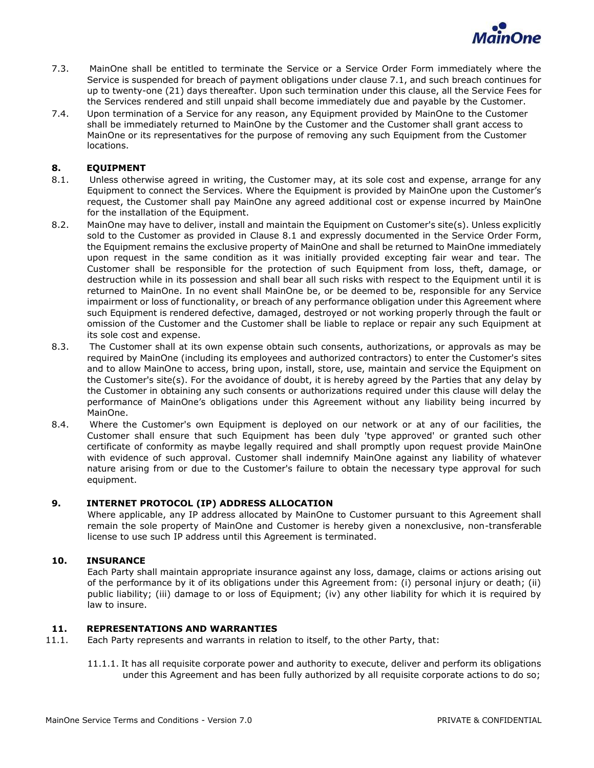

- 7.3. MainOne shall be entitled to terminate the Service or a Service Order Form immediately where the Service is suspended for breach of payment obligations under clause 7.1, and such breach continues for up to twenty-one (21) days thereafter. Upon such termination under this clause, all the Service Fees for the Services rendered and still unpaid shall become immediately due and payable by the Customer.
- 7.4. Upon termination of a Service for any reason, any Equipment provided by MainOne to the Customer shall be immediately returned to MainOne by the Customer and the Customer shall grant access to MainOne or its representatives for the purpose of removing any such Equipment from the Customer locations.

## **8. EQUIPMENT**

- 8.1. Unless otherwise agreed in writing, the Customer may, at its sole cost and expense, arrange for any Equipment to connect the Services. Where the Equipment is provided by MainOne upon the Customer's request, the Customer shall pay MainOne any agreed additional cost or expense incurred by MainOne for the installation of the Equipment.
- 8.2. MainOne may have to deliver, install and maintain the Equipment on Customer's site(s). Unless explicitly sold to the Customer as provided in Clause 8.1 and expressly documented in the Service Order Form, the Equipment remains the exclusive property of MainOne and shall be returned to MainOne immediately upon request in the same condition as it was initially provided excepting fair wear and tear. The Customer shall be responsible for the protection of such Equipment from loss, theft, damage, or destruction while in its possession and shall bear all such risks with respect to the Equipment until it is returned to MainOne. In no event shall MainOne be, or be deemed to be, responsible for any Service impairment or loss of functionality, or breach of any performance obligation under this Agreement where such Equipment is rendered defective, damaged, destroyed or not working properly through the fault or omission of the Customer and the Customer shall be liable to replace or repair any such Equipment at its sole cost and expense.
- 8.3. The Customer shall at its own expense obtain such consents, authorizations, or approvals as may be required by MainOne (including its employees and authorized contractors) to enter the Customer's sites and to allow MainOne to access, bring upon, install, store, use, maintain and service the Equipment on the Customer's site(s). For the avoidance of doubt, it is hereby agreed by the Parties that any delay by the Customer in obtaining any such consents or authorizations required under this clause will delay the performance of MainOne's obligations under this Agreement without any liability being incurred by MainOne.
- 8.4. Where the Customer's own Equipment is deployed on our network or at any of our facilities, the Customer shall ensure that such Equipment has been duly 'type approved' or granted such other certificate of conformity as maybe legally required and shall promptly upon request provide MainOne with evidence of such approval. Customer shall indemnify MainOne against any liability of whatever nature arising from or due to the Customer's failure to obtain the necessary type approval for such equipment.

### **9. INTERNET PROTOCOL (IP) ADDRESS ALLOCATION**

Where applicable, any IP address allocated by MainOne to Customer pursuant to this Agreement shall remain the sole property of MainOne and Customer is hereby given a nonexclusive, non-transferable license to use such IP address until this Agreement is terminated.

### **10. INSURANCE**

Each Party shall maintain appropriate insurance against any loss, damage, claims or actions arising out of the performance by it of its obligations under this Agreement from: (i) personal injury or death; (ii) public liability; (iii) damage to or loss of Equipment; (iv) any other liability for which it is required by law to insure.

## **11. REPRESENTATIONS AND WARRANTIES**

- 11.1. Each Party represents and warrants in relation to itself, to the other Party, that:
	- 11.1.1. It has all requisite corporate power and authority to execute, deliver and perform its obligations under this Agreement and has been fully authorized by all requisite corporate actions to do so;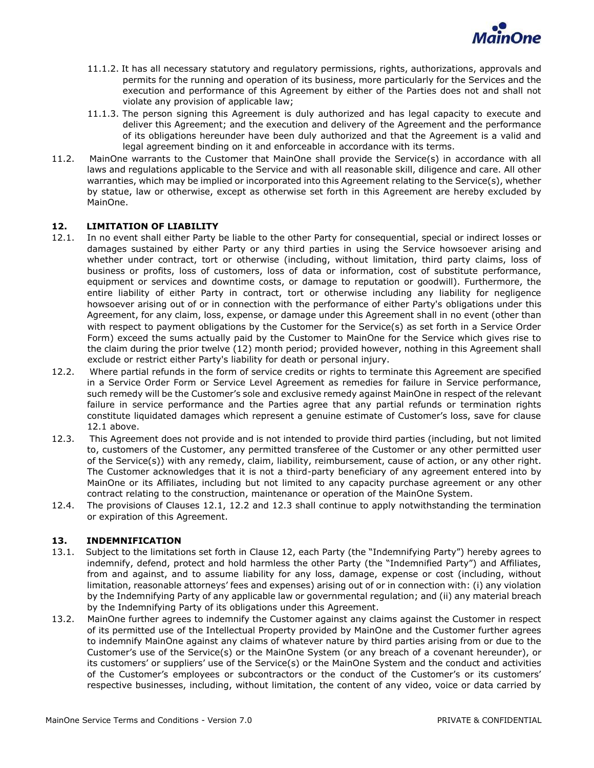

- 11.1.2. It has all necessary statutory and regulatory permissions, rights, authorizations, approvals and permits for the running and operation of its business, more particularly for the Services and the execution and performance of this Agreement by either of the Parties does not and shall not violate any provision of applicable law;
- 11.1.3. The person signing this Agreement is duly authorized and has legal capacity to execute and deliver this Agreement; and the execution and delivery of the Agreement and the performance of its obligations hereunder have been duly authorized and that the Agreement is a valid and legal agreement binding on it and enforceable in accordance with its terms.
- 11.2. MainOne warrants to the Customer that MainOne shall provide the Service(s) in accordance with all laws and regulations applicable to the Service and with all reasonable skill, diligence and care. All other warranties, which may be implied or incorporated into this Agreement relating to the Service(s), whether by statue, law or otherwise, except as otherwise set forth in this Agreement are hereby excluded by MainOne.

## **12. LIMITATION OF LIABILITY**

- 12.1. In no event shall either Party be liable to the other Party for consequential, special or indirect losses or damages sustained by either Party or any third parties in using the Service howsoever arising and whether under contract, tort or otherwise (including, without limitation, third party claims, loss of business or profits, loss of customers, loss of data or information, cost of substitute performance, equipment or services and downtime costs, or damage to reputation or goodwill). Furthermore, the entire liability of either Party in contract, tort or otherwise including any liability for negligence howsoever arising out of or in connection with the performance of either Party's obligations under this Agreement, for any claim, loss, expense, or damage under this Agreement shall in no event (other than with respect to payment obligations by the Customer for the Service(s) as set forth in a Service Order Form) exceed the sums actually paid by the Customer to MainOne for the Service which gives rise to the claim during the prior twelve (12) month period; provided however, nothing in this Agreement shall exclude or restrict either Party's liability for death or personal injury.
- 12.2. Where partial refunds in the form of service credits or rights to terminate this Agreement are specified in a Service Order Form or Service Level Agreement as remedies for failure in Service performance, such remedy will be the Customer's sole and exclusive remedy against MainOne in respect of the relevant failure in service performance and the Parties agree that any partial refunds or termination rights constitute liquidated damages which represent a genuine estimate of Customer's loss, save for clause 12.1 above.
- 12.3. This Agreement does not provide and is not intended to provide third parties (including, but not limited to, customers of the Customer, any permitted transferee of the Customer or any other permitted user of the Service(s)) with any remedy, claim, liability, reimbursement, cause of action, or any other right. The Customer acknowledges that it is not a third-party beneficiary of any agreement entered into by MainOne or its Affiliates, including but not limited to any capacity purchase agreement or any other contract relating to the construction, maintenance or operation of the MainOne System.
- 12.4. The provisions of Clauses 12.1, 12.2 and 12.3 shall continue to apply notwithstanding the termination or expiration of this Agreement.

## **13. INDEMNIFICATION**

- 13.1. Subject to the limitations set forth in Clause 12, each Party (the "Indemnifying Party") hereby agrees to indemnify, defend, protect and hold harmless the other Party (the "Indemnified Party") and Affiliates, from and against, and to assume liability for any loss, damage, expense or cost (including, without limitation, reasonable attorneys' fees and expenses) arising out of or in connection with: (i) any violation by the Indemnifying Party of any applicable law or governmental regulation; and (ii) any material breach by the Indemnifying Party of its obligations under this Agreement.
- 13.2. MainOne further agrees to indemnify the Customer against any claims against the Customer in respect of its permitted use of the Intellectual Property provided by MainOne and the Customer further agrees to indemnify MainOne against any claims of whatever nature by third parties arising from or due to the Customer's use of the Service(s) or the MainOne System (or any breach of a covenant hereunder), or its customers' or suppliers' use of the Service(s) or the MainOne System and the conduct and activities of the Customer's employees or subcontractors or the conduct of the Customer's or its customers' respective businesses, including, without limitation, the content of any video, voice or data carried by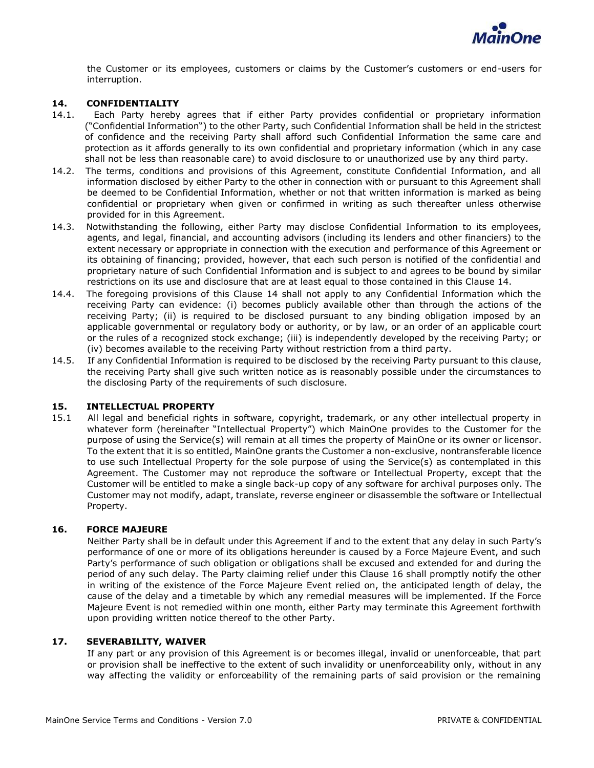

the Customer or its employees, customers or claims by the Customer's customers or end-users for interruption.

## **14. CONFIDENTIALITY**

- 14.1. Each Party hereby agrees that if either Party provides confidential or proprietary information ("Confidential Information") to the other Party, such Confidential Information shall be held in the strictest of confidence and the receiving Party shall afford such Confidential Information the same care and protection as it affords generally to its own confidential and proprietary information (which in any case shall not be less than reasonable care) to avoid disclosure to or unauthorized use by any third party.
- 14.2. The terms, conditions and provisions of this Agreement, constitute Confidential Information, and all information disclosed by either Party to the other in connection with or pursuant to this Agreement shall be deemed to be Confidential Information, whether or not that written information is marked as being confidential or proprietary when given or confirmed in writing as such thereafter unless otherwise provided for in this Agreement.
- 14.3. Notwithstanding the following, either Party may disclose Confidential Information to its employees, agents, and legal, financial, and accounting advisors (including its lenders and other financiers) to the extent necessary or appropriate in connection with the execution and performance of this Agreement or its obtaining of financing; provided, however, that each such person is notified of the confidential and proprietary nature of such Confidential Information and is subject to and agrees to be bound by similar restrictions on its use and disclosure that are at least equal to those contained in this Clause 14.
- 14.4. The foregoing provisions of this Clause 14 shall not apply to any Confidential Information which the receiving Party can evidence: (i) becomes publicly available other than through the actions of the receiving Party; (ii) is required to be disclosed pursuant to any binding obligation imposed by an applicable governmental or regulatory body or authority, or by law, or an order of an applicable court or the rules of a recognized stock exchange; (iii) is independently developed by the receiving Party; or (iv) becomes available to the receiving Party without restriction from a third party.
- 14.5. If any Confidential Information is required to be disclosed by the receiving Party pursuant to this clause, the receiving Party shall give such written notice as is reasonably possible under the circumstances to the disclosing Party of the requirements of such disclosure.

## **15. INTELLECTUAL PROPERTY**

15.1 All legal and beneficial rights in software, copyright, trademark, or any other intellectual property in whatever form (hereinafter "Intellectual Property") which MainOne provides to the Customer for the purpose of using the Service(s) will remain at all times the property of MainOne or its owner or licensor. To the extent that it is so entitled, MainOne grants the Customer a non-exclusive, nontransferable licence to use such Intellectual Property for the sole purpose of using the Service(s) as contemplated in this Agreement. The Customer may not reproduce the software or Intellectual Property, except that the Customer will be entitled to make a single back-up copy of any software for archival purposes only. The Customer may not modify, adapt, translate, reverse engineer or disassemble the software or Intellectual Property.

### **16. FORCE MAJEURE**

Neither Party shall be in default under this Agreement if and to the extent that any delay in such Party's performance of one or more of its obligations hereunder is caused by a Force Majeure Event, and such Party's performance of such obligation or obligations shall be excused and extended for and during the period of any such delay. The Party claiming relief under this Clause 16 shall promptly notify the other in writing of the existence of the Force Majeure Event relied on, the anticipated length of delay, the cause of the delay and a timetable by which any remedial measures will be implemented. If the Force Majeure Event is not remedied within one month, either Party may terminate this Agreement forthwith upon providing written notice thereof to the other Party.

### **17. SEVERABILITY, WAIVER**

If any part or any provision of this Agreement is or becomes illegal, invalid or unenforceable, that part or provision shall be ineffective to the extent of such invalidity or unenforceability only, without in any way affecting the validity or enforceability of the remaining parts of said provision or the remaining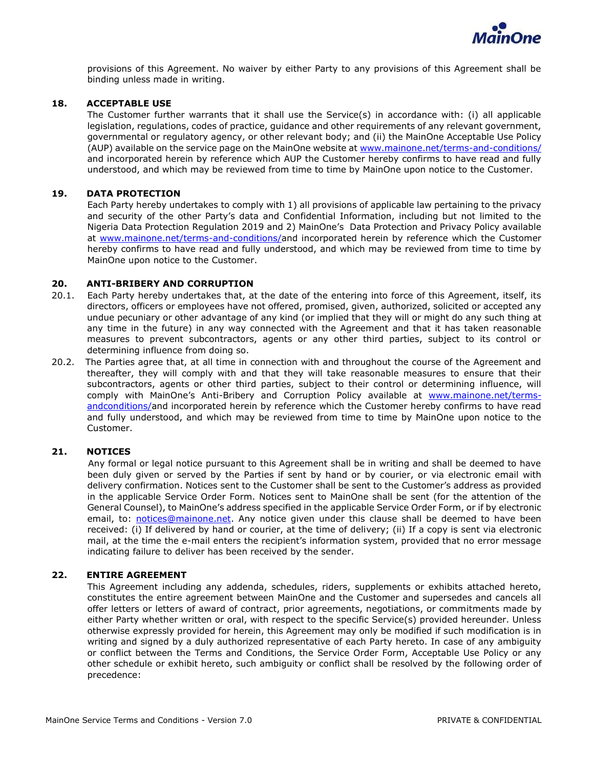

provisions of this Agreement. No waiver by either Party to any provisions of this Agreement shall be binding unless made in writing.

## **18. ACCEPTABLE USE**

The Customer further warrants that it shall use the Service(s) in accordance with: (i) all applicable legislation, regulations, codes of practice, guidance and other requirements of any relevant government, governmental or regulatory agency, or other relevant body; and (ii) the MainOne Acceptable Use Policy (AUP) available on the service page on the MainOne website at [www.mainone.net/terms-and-conditions/](http://www.mainone.net/terms-and-conditions/) and incorporated herein by reference which AUP the Customer hereby confirms to have read and fully understood, and which may be reviewed from time to time by MainOne upon notice to the Customer.

## **19. DATA PROTECTION**

Each Party hereby undertakes to comply with 1) all provisions of applicable law pertaining to the privacy and security of the other Party's data and Confidential Information, including but not limited to the Nigeria Data Protection Regulation 2019 and 2) MainOne's Data Protection and Privacy Policy available at [www.mainone.net/terms-and-conditions/an](http://www.mainone.net/terms-and-conditions/)d incorporated herein by reference which the Customer hereby confirms to have read and fully understood, and which may be reviewed from time to time by MainOne upon notice to the Customer.

## **20. ANTI-BRIBERY AND CORRUPTION**

- 20.1. Each Party hereby undertakes that, at the date of the entering into force of this Agreement, itself, its directors, officers or employees have not offered, promised, given, authorized, solicited or accepted any undue pecuniary or other advantage of any kind (or implied that they will or might do any such thing at any time in the future) in any way connected with the Agreement and that it has taken reasonable measures to prevent subcontractors, agents or any other third parties, subject to its control or determining influence from doing so.
- 20.2. The Parties agree that, at all time in connection with and throughout the course of the Agreement and thereafter, they will comply with and that they will take reasonable measures to ensure that their subcontractors, agents or other third parties, subject to their control or determining influence, will comply with MainOne's Anti-Bribery and Corruption Policy available at [www.mainone.net/terms](http://www.mainone.net/terms-and-conditions/)[andconditions/an](http://www.mainone.net/terms-and-conditions/)d incorporated herein by reference which the Customer hereby confirms to have read and fully understood, and which may be reviewed from time to time by MainOne upon notice to the Customer.

### **21. NOTICES**

 Any formal or legal notice pursuant to this Agreement shall be in writing and shall be deemed to have been duly given or served by the Parties if sent by hand or by courier, or via electronic email with delivery confirmation. Notices sent to the Customer shall be sent to the Customer's address as provided in the applicable Service Order Form. Notices sent to MainOne shall be sent (for the attention of the General Counsel), to MainOne's address specified in the applicable Service Order Form, or if by electronic email, to: notices@mainone.net. Any notice given under this clause shall be deemed to have been received: (i) If delivered by hand or courier, at the time of delivery; (ii) If a copy is sent via electronic mail, at the time the e-mail enters the recipient's information system, provided that no error message indicating failure to deliver has been received by the sender.

### **22. ENTIRE AGREEMENT**

This Agreement including any addenda, schedules, riders, supplements or exhibits attached hereto, constitutes the entire agreement between MainOne and the Customer and supersedes and cancels all offer letters or letters of award of contract, prior agreements, negotiations, or commitments made by either Party whether written or oral, with respect to the specific Service(s) provided hereunder. Unless otherwise expressly provided for herein, this Agreement may only be modified if such modification is in writing and signed by a duly authorized representative of each Party hereto. In case of any ambiguity or conflict between the Terms and Conditions, the Service Order Form, Acceptable Use Policy or any other schedule or exhibit hereto, such ambiguity or conflict shall be resolved by the following order of precedence: